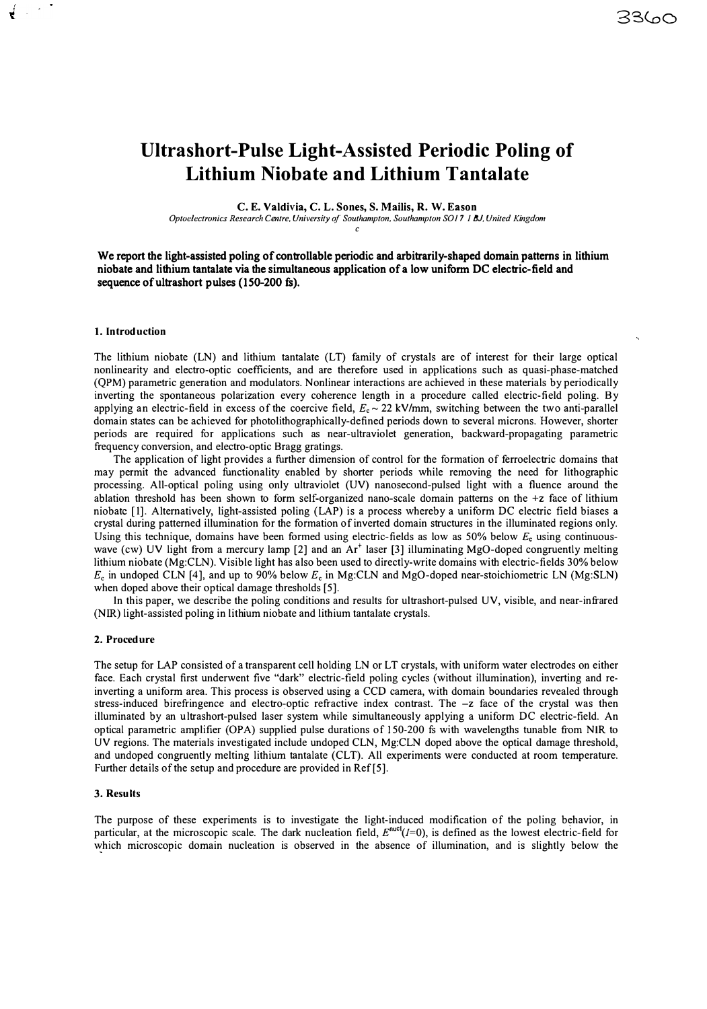# **Ultrashort-Pulse Light-Assisted Periodic Poling of Lithium Niobate and Lithium Tantalate**

**C. E. Valdivia, C. L. Sones, S. Mailis, R. W. Eason**

*Optoelectronics Research Centre, University of Southampton, Southampton SOI* 7 *I BJ. United Kingdom c*

We report the light-assisted poling of controllable periodic and arbitrarily-shaped domain patterns in lithium niobate and lithium tantalate via the simultaneous application of a low uniform DC electric-field and sequence of ultrashort pulses (150-200 fs).

### **1. Introduction**

 $\sim$   $^{\star}$ 

The lithium niobate (LN) and lithium tantalate (LT) family of crystals are of interest for their large optical nonlinearity and electro-optic coefficients, and are therefore used in applications such as quasi-phase-matched (QPM) parametric generation and modulators. Nonlinear interactions are achieved in these materials by periodically inverting the spontaneous polarization every coherence length in a procedure called electric-field poling. By applying an electric-field in excess of the coercive field,  $E_e \sim 22$  kV/mm, switching between the two anti-parallel domain states can be achieved for photolithographically-defined periods down to several microns. However, shorter periods are required for applications such as near-ultraviolet generation, backward-propagating parametric frequency conversion, and electro-optic Bragg gratings.

The application of light provides a further dimension of control for the formation of ferroelectric domains that may permit the advanced functionality enabled by shorter periods while removing the need for lithographic processing. All-optical poling using only ultraviolet (UV) nanosecond-pulsed light with a fluence around the ablation threshold has been shown to form self-organized nano-scale domain patterns on the +z face of lithium niobatc [I]. Alternatively, light-assisted poling (LAP) is a process whereby a uniform DC electric field biases a crystal during patterned illumination for the formation of inverted domain structures in the illuminated regions only. Using this technique, domains have been formed using electric-fields as low as 50% below  $E<sub>c</sub>$  using continuouswave (cw) UV light from a mercury lamp  $[2]$  and an Ar<sup>+</sup> laser  $[3]$  illuminating MgO-doped congruently melting lithium niobate (Mg:CLN). Visible light has also been used to directly-write domains with electric-fields 30% below  $E<sub>c</sub>$  in undoped CLN [4], and up to 90% below  $E<sub>c</sub>$  in Mg:CLN and MgO-doped near-stoichiometric LN (Mg:SLN) when doped above their optical damage thresholds [5].

In this paper, we describe the poling conditions and results for ultrashort-pulsed UV, visible, and near-infrared (NIR) light-assisted poling in lithium niobate and lithium tantalate crystals.

## **2. Procedure**

The setup for LAP consisted of a transparent cell holding LN or LT crystals, with uniform water electrodes on either face. Each crystal first underwent five "dark" electric-field poling cycles (without illumination), inverting and reinverting a uniform area. This process is observed using a CCD camera, with domain boundaries revealed through stress-induced birefringence and electro-optic refractive index contrast. The -z face of the crystal was then illuminated by an ultrashort-pulsed laser system while simultaneously applying a uniform DC electric-field. An optical parametric amplifier (OPA) supplied pulse durations of 150-200 fs with wavelengths tunable from NIR to UV regions. The materials investigated include undoped CLN, Mg:CLN doped above the optical damage threshold, and undoped congruently melting lithium tantalate (CLT). All experiments were conducted at room temperature. Further details of the setup and procedure are provided in Ref<sup>[5]</sup>.

## **3. Results**

The purpose of these experiments is to investigate the light-induced modification of the poling behavior, in particular, at the microscopic scale. The dark nucleation field,  $E^{nuc}(I=0)$ , is defined as the lowest electric-field for which microscopic domain nucleation is observed in the absence of illumination, and is slightly below the